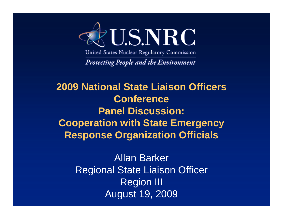

United States Nuclear Regulatory Commission

**Protecting People and the Environment** 

**2009 National State Liaison Officers Conference Panel Discussion: Cooperation with State Emergency Response Organization Officials**

> Allan Barker Regional State Liaison Officer Region III August 19, 2009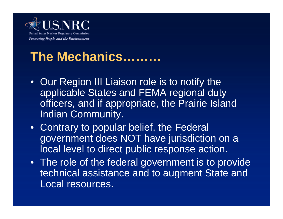

#### **The Mechanics………**

- Our Region III Liaison role is to notify the applicable States and FEMA regional duty officers, and if appropriate, the Prairie Island Indian Community.
- Contrary to popular belief, the Federal government does NOT have jurisdiction on a local level to direct public response action.
- The role of the federal government is to provide technical assistance and to augment State and Local resources.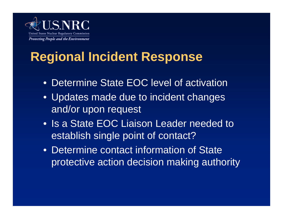

### **Regional Incident Response**

- Determine State EOC level of activation
- Updates made due to incident changes and/or upon request
- Is a State EOC Liaison Leader needed to establish single point of contact?
- Determine contact information of State protective action decision making authority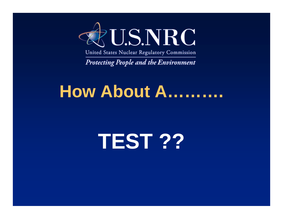

United States Nuclear Regulatory Commission

**Protecting People and the Environment** 

# **How About A……….**

# **TEST ??**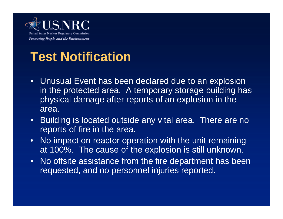

#### **Test Notification**

- Unusual Event has been declared due to an explosion in the protected area. A temporary storage building has physical damage after reports of an explosion in the area.
- Building is located outside any vital area. There are no reports of fire in the area.
- No impact on reactor operation with the unit remaining at 100%. The cause of the explosion is still unknown.
- No offsite assistance from the fire department has been requested, and no personnel injuries reported.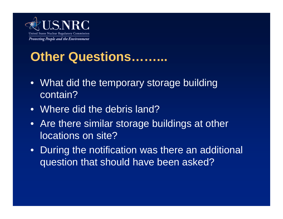

#### **Other Questions……...**

- What did the temporary storage building contain?
- Where did the debris land?
- Are there similar storage buildings at other locations on site?
- During the notification was there an additional question that should have been asked?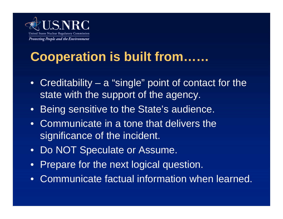

### **Cooperation is built from……**

- Creditability a "single" point of contact for the state with the support of the agency.
- Being sensitive to the State's audience.
- Communicate in a tone that delivers the significance of the incident.
- Do NOT Speculate or Assume.
- Prepare for the next logical question.
- Communicate factual information when learned.